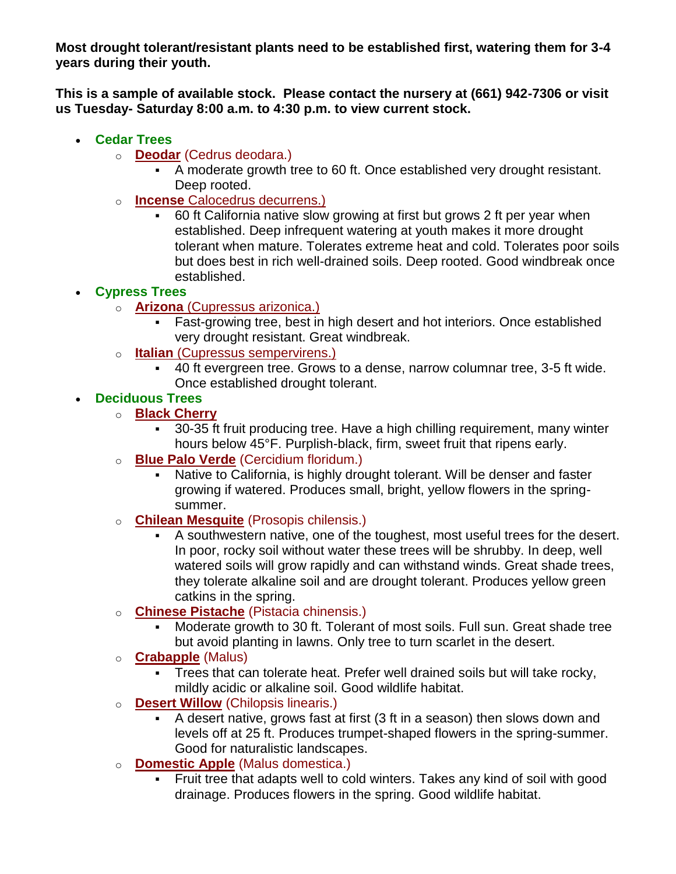**Most drought tolerant/resistant plants need to be established first, watering them for 3-4 years during their youth.**

**This is a sample of available stock. Please contact the nursery at (661) 942-7306 or visit us Tuesday- Saturday 8:00 a.m. to 4:30 p.m. to view current stock.**

- **Cedar Trees**
	- o **Deodar** (Cedrus deodara.)
		- A moderate growth tree to 60 ft. Once established very drought resistant. Deep rooted.
	- o **Incense** Calocedrus decurrens.)
		- 60 ft California native slow growing at first but grows 2 ft per year when established. Deep infrequent watering at youth makes it more drought tolerant when mature. Tolerates extreme heat and cold. Tolerates poor soils but does best in rich well-drained soils. Deep rooted. Good windbreak once established.

## • **Cypress Trees**

- o **Arizona** (Cupressus arizonica.)
	- **·** Fast-growing tree, best in high desert and hot interiors. Once established very drought resistant. Great windbreak.
- o **Italian** (Cupressus sempervirens.)
	- 40 ft evergreen tree. Grows to a dense, narrow columnar tree, 3-5 ft wide. Once established drought tolerant.
- **Deciduous Trees**
	- o **Black Cherry**
		- 30-35 ft fruit producing tree. Have a high chilling requirement, many winter hours below 45°F. Purplish-black, firm, sweet fruit that ripens early.
	- o **Blue Palo Verde** (Cercidium floridum.)
		- Native to California, is highly drought tolerant. Will be denser and faster growing if watered. Produces small, bright, yellow flowers in the springsummer.
	- **Chilean Mesquite** (Prosopis chilensis.)
		- A southwestern native, one of the toughest, most useful trees for the desert. In poor, rocky soil without water these trees will be shrubby. In deep, well watered soils will grow rapidly and can withstand winds. Great shade trees, they tolerate alkaline soil and are drought tolerant. Produces yellow green catkins in the spring.
	- o **Chinese Pistache** (Pistacia chinensis.)
		- Moderate growth to 30 ft. Tolerant of most soils. Full sun. Great shade tree but avoid planting in lawns. Only tree to turn scarlet in the desert.
	- o **Crabapple** (Malus)
		- Trees that can tolerate heat. Prefer well drained soils but will take rocky, mildly acidic or alkaline soil. Good wildlife habitat.
	- o **Desert Willow** (Chilopsis linearis.)
		- A desert native, grows fast at first (3 ft in a season) then slows down and levels off at 25 ft. Produces trumpet-shaped flowers in the spring-summer. Good for naturalistic landscapes.
	- o **Domestic Apple** (Malus domestica.)
		- Fruit tree that adapts well to cold winters. Takes any kind of soil with good drainage. Produces flowers in the spring. Good wildlife habitat.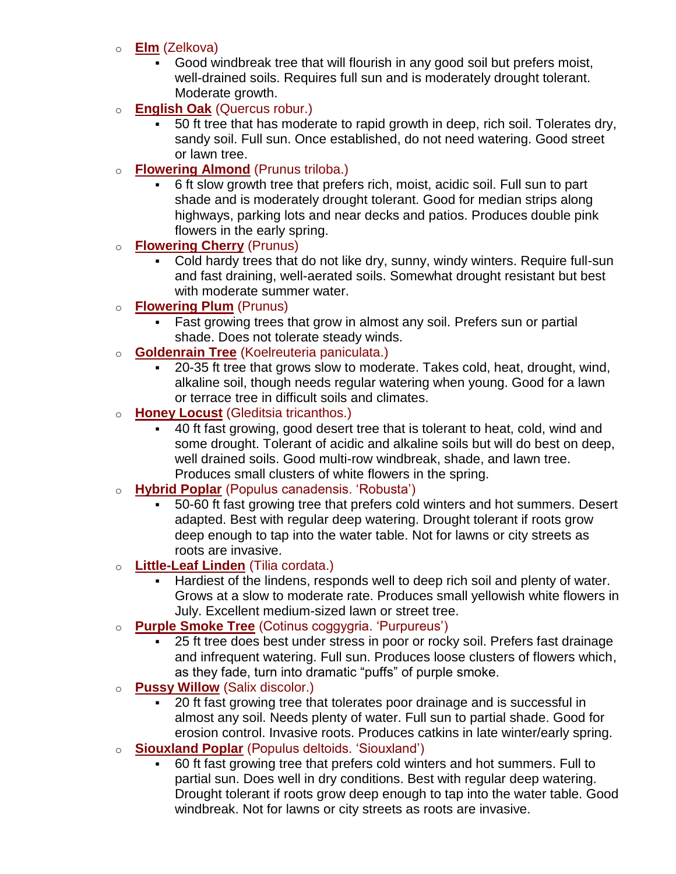#### o **Elm** (Zelkova)

- Good windbreak tree that will flourish in any good soil but prefers moist, well-drained soils. Requires full sun and is moderately drought tolerant. Moderate growth.
- o **English Oak** (Quercus robur.)
	- 50 ft tree that has moderate to rapid growth in deep, rich soil. Tolerates dry, sandy soil. Full sun. Once established, do not need watering. Good street or lawn tree.
- o **Flowering Almond** (Prunus triloba.)
	- 6 ft slow growth tree that prefers rich, moist, acidic soil. Full sun to part shade and is moderately drought tolerant. Good for median strips along highways, parking lots and near decks and patios. Produces double pink flowers in the early spring.

## o **Flowering Cherry** (Prunus)

- Cold hardy trees that do not like dry, sunny, windy winters. Require full-sun and fast draining, well-aerated soils. Somewhat drought resistant but best with moderate summer water.
- o **Flowering Plum** (Prunus)
	- Fast growing trees that grow in almost any soil. Prefers sun or partial shade. Does not tolerate steady winds.
- o **Goldenrain Tree** (Koelreuteria paniculata.)
	- 20-35 ft tree that grows slow to moderate. Takes cold, heat, drought, wind, alkaline soil, though needs regular watering when young. Good for a lawn or terrace tree in difficult soils and climates.
- o **Honey Locust** (Gleditsia tricanthos.)
	- 40 ft fast growing, good desert tree that is tolerant to heat, cold, wind and some drought. Tolerant of acidic and alkaline soils but will do best on deep, well drained soils. Good multi-row windbreak, shade, and lawn tree. Produces small clusters of white flowers in the spring.
- o **Hybrid Poplar** (Populus canadensis. 'Robusta')
	- 50-60 ft fast growing tree that prefers cold winters and hot summers. Desert adapted. Best with regular deep watering. Drought tolerant if roots grow deep enough to tap into the water table. Not for lawns or city streets as roots are invasive.
- o **Little-Leaf Linden** (Tilia cordata.)
	- Hardiest of the lindens, responds well to deep rich soil and plenty of water. Grows at a slow to moderate rate. Produces small yellowish white flowers in July. Excellent medium-sized lawn or street tree.
- o **Purple Smoke Tree** (Cotinus coggygria. 'Purpureus')
	- 25 ft tree does best under stress in poor or rocky soil. Prefers fast drainage and infrequent watering. Full sun. Produces loose clusters of flowers which, as they fade, turn into dramatic "puffs" of purple smoke.
- o **Pussy Willow** (Salix discolor.)
	- 20 ft fast growing tree that tolerates poor drainage and is successful in almost any soil. Needs plenty of water. Full sun to partial shade. Good for erosion control. Invasive roots. Produces catkins in late winter/early spring.
- o **Siouxland Poplar** (Populus deltoids. 'Siouxland')
	- 60 ft fast growing tree that prefers cold winters and hot summers. Full to partial sun. Does well in dry conditions. Best with regular deep watering. Drought tolerant if roots grow deep enough to tap into the water table. Good windbreak. Not for lawns or city streets as roots are invasive.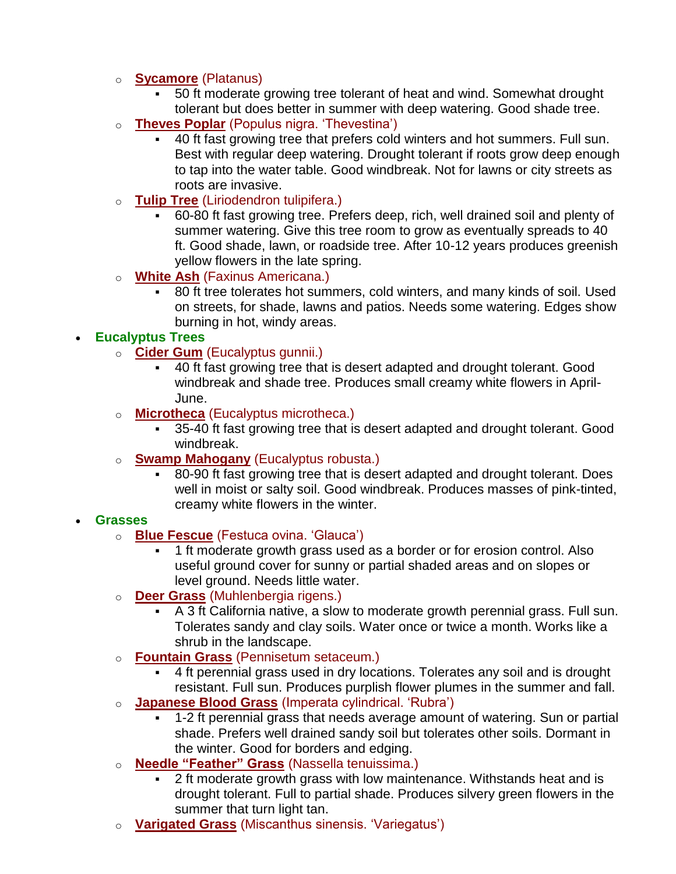### o **Sycamore** (Platanus)

- 50 ft moderate growing tree tolerant of heat and wind. Somewhat drought tolerant but does better in summer with deep watering. Good shade tree.
- o **Theves Poplar** (Populus nigra. 'Thevestina')
	- 40 ft fast growing tree that prefers cold winters and hot summers. Full sun. Best with regular deep watering. Drought tolerant if roots grow deep enough to tap into the water table. Good windbreak. Not for lawns or city streets as roots are invasive.
- o **Tulip Tree** (Liriodendron tulipifera.)
	- 60-80 ft fast growing tree. Prefers deep, rich, well drained soil and plenty of summer watering. Give this tree room to grow as eventually spreads to 40 ft. Good shade, lawn, or roadside tree. After 10-12 years produces greenish yellow flowers in the late spring.
- o **White Ash** (Faxinus Americana.)
	- 80 ft tree tolerates hot summers, cold winters, and many kinds of soil. Used on streets, for shade, lawns and patios. Needs some watering. Edges show burning in hot, windy areas.

### • **Eucalyptus Trees**

- o **Cider Gum** (Eucalyptus gunnii.)
	- 40 ft fast growing tree that is desert adapted and drought tolerant. Good windbreak and shade tree. Produces small creamy white flowers in April-June.
- o **Microtheca** (Eucalyptus microtheca.)
	- 35-40 ft fast growing tree that is desert adapted and drought tolerant. Good windbreak.
- o **Swamp Mahogany** (Eucalyptus robusta.)
	- 80-90 ft fast growing tree that is desert adapted and drought tolerant. Does well in moist or salty soil. Good windbreak. Produces masses of pink-tinted, creamy white flowers in the winter.

#### • **Grasses**

- o **Blue Fescue** (Festuca ovina. 'Glauca')
	- 1 ft moderate growth grass used as a border or for erosion control. Also useful ground cover for sunny or partial shaded areas and on slopes or level ground. Needs little water.
- o **Deer Grass** (Muhlenbergia rigens.)
	- A 3 ft California native, a slow to moderate growth perennial grass. Full sun. Tolerates sandy and clay soils. Water once or twice a month. Works like a shrub in the landscape.
- o **Fountain Grass** (Pennisetum setaceum.)
	- 4 ft perennial grass used in dry locations. Tolerates any soil and is drought resistant. Full sun. Produces purplish flower plumes in the summer and fall.
- o **Japanese Blood Grass** (Imperata cylindrical. 'Rubra')
	- 1-2 ft perennial grass that needs average amount of watering. Sun or partial shade. Prefers well drained sandy soil but tolerates other soils. Dormant in the winter. Good for borders and edging.
- o **Needle "Feather" Grass** (Nassella tenuissima.)
	- 2 ft moderate growth grass with low maintenance. Withstands heat and is drought tolerant. Full to partial shade. Produces silvery green flowers in the summer that turn light tan.
- o **Varigated Grass** (Miscanthus sinensis. 'Variegatus')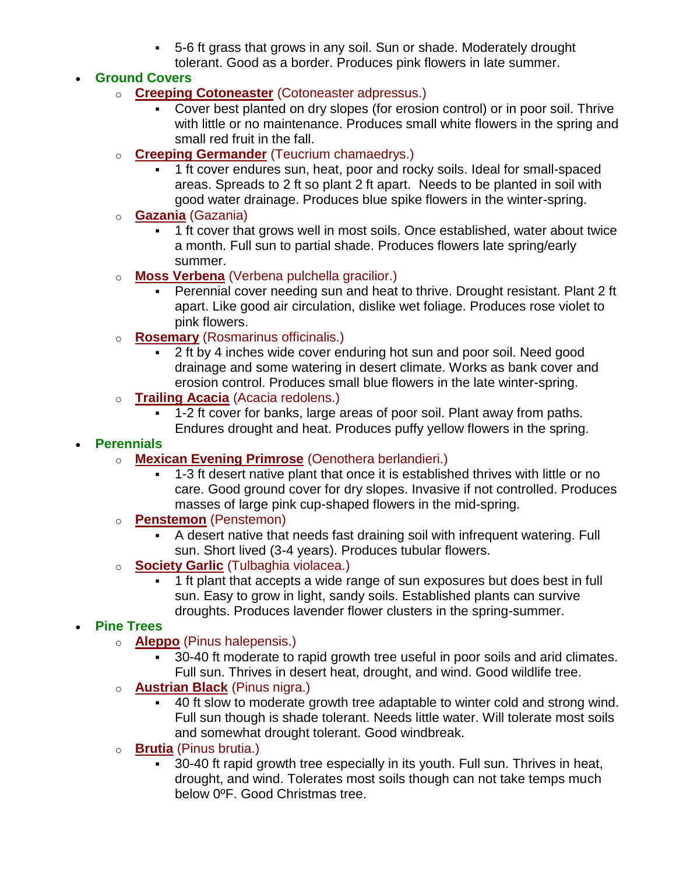▪ 5-6 ft grass that grows in any soil. Sun or shade. Moderately drought tolerant. Good as a border. Produces pink flowers in late summer.

### • **Ground Covers**

- o **Creeping Cotoneaster** (Cotoneaster adpressus.)
	- Cover best planted on dry slopes (for erosion control) or in poor soil. Thrive with little or no maintenance. Produces small white flowers in the spring and small red fruit in the fall.
- o **Creeping Germander** (Teucrium chamaedrys.)
	- 1 ft cover endures sun, heat, poor and rocky soils. Ideal for small-spaced areas. Spreads to 2 ft so plant 2 ft apart. Needs to be planted in soil with good water drainage. Produces blue spike flowers in the winter-spring.
- o **Gazania** (Gazania)
	- 1 ft cover that grows well in most soils. Once established, water about twice a month. Full sun to partial shade. Produces flowers late spring/early summer.
- o **Moss Verbena** (Verbena pulchella gracilior.)
	- Perennial cover needing sun and heat to thrive. Drought resistant. Plant 2 ft apart. Like good air circulation, dislike wet foliage. Produces rose violet to pink flowers.
- o **Rosemary** (Rosmarinus officinalis.)
	- 2 ft by 4 inches wide cover enduring hot sun and poor soil. Need good drainage and some watering in desert climate. Works as bank cover and erosion control. Produces small blue flowers in the late winter-spring.
- o **Trailing Acacia** (Acacia redolens.)
	- 1-2 ft cover for banks, large areas of poor soil. Plant away from paths. Endures drought and heat. Produces puffy yellow flowers in the spring.

### • **Perennials**

- o **Mexican Evening Primrose** (Oenothera berlandieri.)
	- 1-3 ft desert native plant that once it is established thrives with little or no care. Good ground cover for dry slopes. Invasive if not controlled. Produces masses of large pink cup-shaped flowers in the mid-spring.
- o **Penstemon** (Penstemon)
	- A desert native that needs fast draining soil with infrequent watering. Full sun. Short lived (3-4 years). Produces tubular flowers.
- o **Society Garlic** (Tulbaghia violacea.)
	- 1 ft plant that accepts a wide range of sun exposures but does best in full sun. Easy to grow in light, sandy soils. Established plants can survive droughts. Produces lavender flower clusters in the spring-summer.

## • **Pine Trees**

- o **Aleppo** (Pinus halepensis.)
	- 30-40 ft moderate to rapid growth tree useful in poor soils and arid climates. Full sun. Thrives in desert heat, drought, and wind. Good wildlife tree.
- o **Austrian Black** (Pinus nigra.)
	- 40 ft slow to moderate growth tree adaptable to winter cold and strong wind. Full sun though is shade tolerant. Needs little water. Will tolerate most soils and somewhat drought tolerant. Good windbreak.
- o **Brutia** (Pinus brutia.)
	- 30-40 ft rapid growth tree especially in its youth. Full sun. Thrives in heat, drought, and wind. Tolerates most soils though can not take temps much below 0ºF. Good Christmas tree.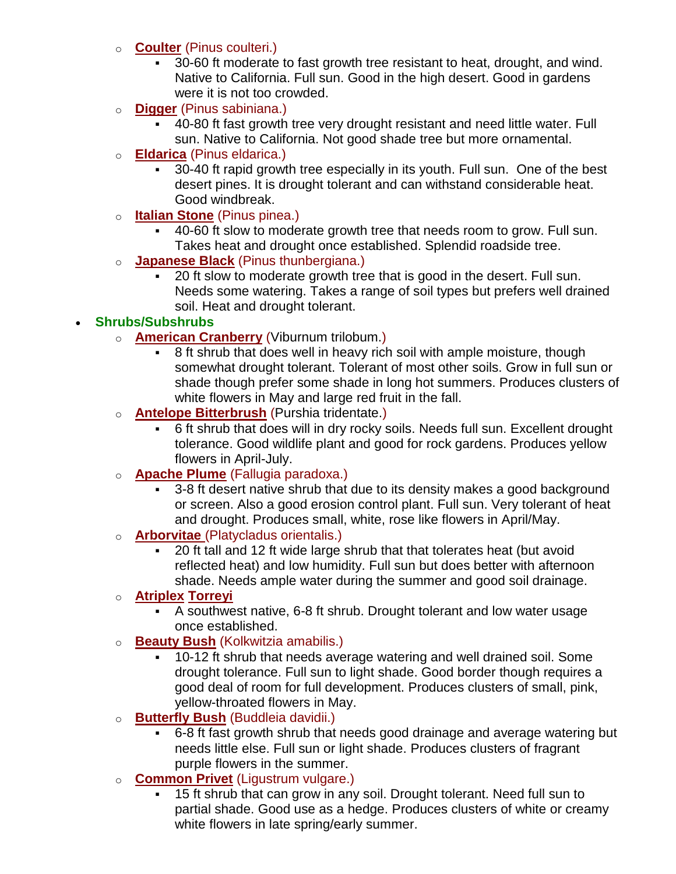- o **Coulter** (Pinus coulteri.)
	- 30-60 ft moderate to fast growth tree resistant to heat, drought, and wind. Native to California. Full sun. Good in the high desert. Good in gardens were it is not too crowded.
- o **Digger** (Pinus sabiniana.)
	- 40-80 ft fast growth tree very drought resistant and need little water. Full sun. Native to California. Not good shade tree but more ornamental.
- o **Eldarica** (Pinus eldarica.)
	- 30-40 ft rapid growth tree especially in its youth. Full sun. One of the best desert pines. It is drought tolerant and can withstand considerable heat. Good windbreak.
- o **Italian Stone** (Pinus pinea.)
	- 40-60 ft slow to moderate growth tree that needs room to grow. Full sun. Takes heat and drought once established. Splendid roadside tree.
- **Japanese Black** (Pinus thunbergiana.)
	- 20 ft slow to moderate growth tree that is good in the desert. Full sun. Needs some watering. Takes a range of soil types but prefers well drained soil. Heat and drought tolerant.

# • **Shrubs/Subshrubs**

- o **American Cranberry** (Viburnum trilobum.)
	- 8 ft shrub that does well in heavy rich soil with ample moisture, though somewhat drought tolerant. Tolerant of most other soils. Grow in full sun or shade though prefer some shade in long hot summers. Produces clusters of white flowers in May and large red fruit in the fall.
- o **Antelope Bitterbrush** (Purshia tridentate.)
	- 6 ft shrub that does will in dry rocky soils. Needs full sun. Excellent drought tolerance. Good wildlife plant and good for rock gardens. Produces yellow flowers in April-July.
- o **Apache Plume** (Fallugia paradoxa.)
	- 3-8 ft desert native shrub that due to its density makes a good background or screen. Also a good erosion control plant. Full sun. Very tolerant of heat and drought. Produces small, white, rose like flowers in April/May.
- o **Arborvitae** (Platycladus orientalis.)
	- 20 ft tall and 12 ft wide large shrub that that tolerates heat (but avoid reflected heat) and low humidity. Full sun but does better with afternoon shade. Needs ample water during the summer and good soil drainage.

## o **Atriplex Torreyi**

- A southwest native, 6-8 ft shrub. Drought tolerant and low water usage once established.
- o **Beauty Bush** (Kolkwitzia amabilis.)
	- 10-12 ft shrub that needs average watering and well drained soil. Some drought tolerance. Full sun to light shade. Good border though requires a good deal of room for full development. Produces clusters of small, pink, yellow-throated flowers in May.
- o **Butterfly Bush** (Buddleia davidii.)
	- 6-8 ft fast growth shrub that needs good drainage and average watering but needs little else. Full sun or light shade. Produces clusters of fragrant purple flowers in the summer.
- o **Common Privet** (Ligustrum vulgare.)
	- 15 ft shrub that can grow in any soil. Drought tolerant. Need full sun to partial shade. Good use as a hedge. Produces clusters of white or creamy white flowers in late spring/early summer.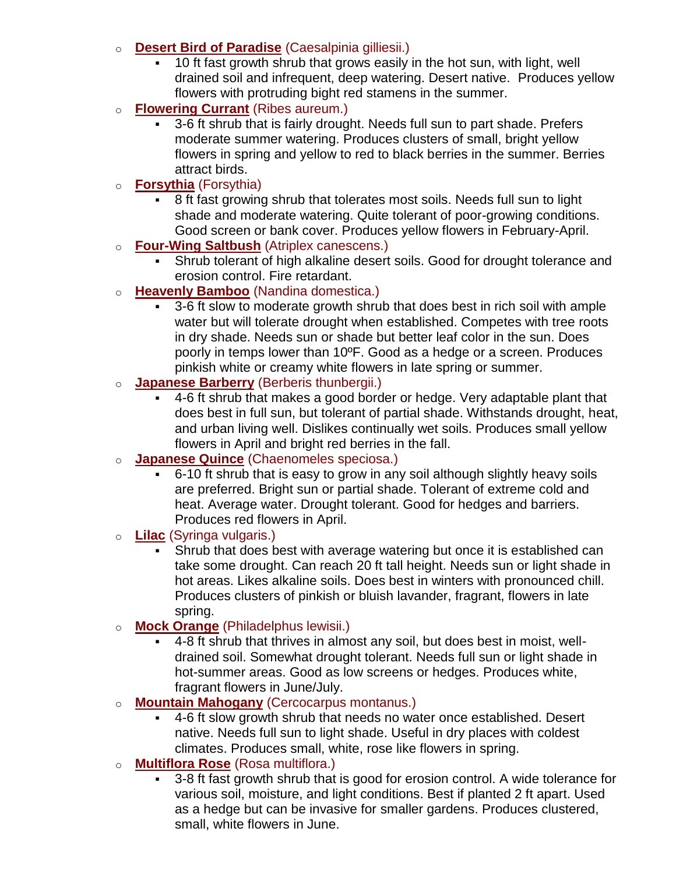#### o **Desert Bird of Paradise** (Caesalpinia gilliesii.)

- 10 ft fast growth shrub that grows easily in the hot sun, with light, well drained soil and infrequent, deep watering. Desert native. Produces yellow flowers with protruding bight red stamens in the summer.
- o **Flowering Currant** (Ribes aureum.)
	- 3-6 ft shrub that is fairly drought. Needs full sun to part shade. Prefers moderate summer watering. Produces clusters of small, bright yellow flowers in spring and yellow to red to black berries in the summer. Berries attract birds.
- o **Forsythia** (Forsythia)
	- 8 ft fast growing shrub that tolerates most soils. Needs full sun to light shade and moderate watering. Quite tolerant of poor-growing conditions. Good screen or bank cover. Produces yellow flowers in February-April.
- o **Four-Wing Saltbush** (Atriplex canescens.)
	- Shrub tolerant of high alkaline desert soils. Good for drought tolerance and erosion control. Fire retardant.
- o **Heavenly Bamboo** (Nandina domestica.)
	- 3-6 ft slow to moderate growth shrub that does best in rich soil with ample water but will tolerate drought when established. Competes with tree roots in dry shade. Needs sun or shade but better leaf color in the sun. Does poorly in temps lower than 10ºF. Good as a hedge or a screen. Produces pinkish white or creamy white flowers in late spring or summer.
- o **Japanese Barberry** (Berberis thunbergii.)
	- 4-6 ft shrub that makes a good border or hedge. Very adaptable plant that does best in full sun, but tolerant of partial shade. Withstands drought, heat, and urban living well. Dislikes continually wet soils. Produces small yellow flowers in April and bright red berries in the fall.
- **Japanese Quince** (Chaenomeles speciosa.)
	- 6-10 ft shrub that is easy to grow in any soil although slightly heavy soils are preferred. Bright sun or partial shade. Tolerant of extreme cold and heat. Average water. Drought tolerant. Good for hedges and barriers. Produces red flowers in April.
- o **Lilac** (Syringa vulgaris.)
	- Shrub that does best with average watering but once it is established can take some drought. Can reach 20 ft tall height. Needs sun or light shade in hot areas. Likes alkaline soils. Does best in winters with pronounced chill. Produces clusters of pinkish or bluish lavander, fragrant, flowers in late spring.
- o **Mock Orange** (Philadelphus lewisii.)
	- 4-8 ft shrub that thrives in almost any soil, but does best in moist, welldrained soil. Somewhat drought tolerant. Needs full sun or light shade in hot-summer areas. Good as low screens or hedges. Produces white, fragrant flowers in June/July.
- o **Mountain Mahogany** (Cercocarpus montanus.)
	- 4-6 ft slow growth shrub that needs no water once established. Desert native. Needs full sun to light shade. Useful in dry places with coldest climates. Produces small, white, rose like flowers in spring.
- o **Multiflora Rose** (Rosa multiflora.)
	- 3-8 ft fast growth shrub that is good for erosion control. A wide tolerance for various soil, moisture, and light conditions. Best if planted 2 ft apart. Used as a hedge but can be invasive for smaller gardens. Produces clustered, small, white flowers in June.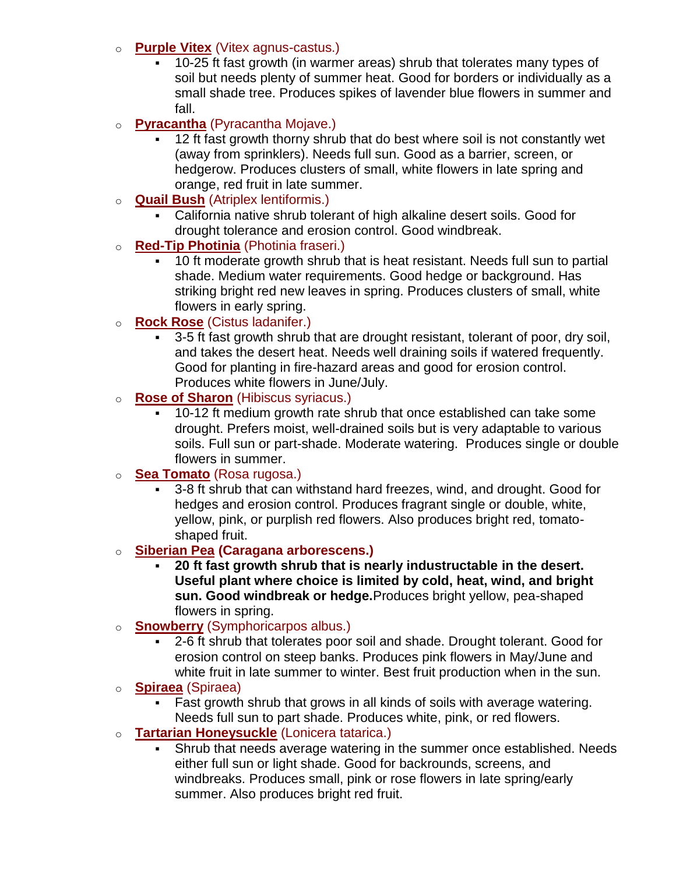### o **Purple Vitex** (Vitex agnus-castus.)

10-25 ft fast growth (in warmer areas) shrub that tolerates many types of soil but needs plenty of summer heat. Good for borders or individually as a small shade tree. Produces spikes of lavender blue flowers in summer and fall.

## o **Pyracantha** (Pyracantha Mojave.)

- 12 ft fast growth thorny shrub that do best where soil is not constantly wet (away from sprinklers). Needs full sun. Good as a barrier, screen, or hedgerow. Produces clusters of small, white flowers in late spring and orange, red fruit in late summer.
- o **Quail Bush** (Atriplex lentiformis.)
	- California native shrub tolerant of high alkaline desert soils. Good for drought tolerance and erosion control. Good windbreak.

### o **Red-Tip Photinia** (Photinia fraseri.)

■ 10 ft moderate growth shrub that is heat resistant. Needs full sun to partial shade. Medium water requirements. Good hedge or background. Has striking bright red new leaves in spring. Produces clusters of small, white flowers in early spring.

### o **Rock Rose** (Cistus ladanifer.)

3-5 ft fast growth shrub that are drought resistant, tolerant of poor, dry soil, and takes the desert heat. Needs well draining soils if watered frequently. Good for planting in fire-hazard areas and good for erosion control. Produces white flowers in June/July.

### o **Rose of Sharon** (Hibiscus syriacus.)

■ 10-12 ft medium growth rate shrub that once established can take some drought. Prefers moist, well-drained soils but is very adaptable to various soils. Full sun or part-shade. Moderate watering. Produces single or double flowers in summer.

#### o **Sea Tomato** (Rosa rugosa.)

3-8 ft shrub that can withstand hard freezes, wind, and drought. Good for hedges and erosion control. Produces fragrant single or double, white, yellow, pink, or purplish red flowers. Also produces bright red, tomatoshaped fruit.

#### o **Siberian Pea (Caragana arborescens.)**

- **20 ft fast growth shrub that is nearly industructable in the desert. Useful plant where choice is limited by cold, heat, wind, and bright sun. Good windbreak or hedge.**Produces bright yellow, pea-shaped flowers in spring.
- o **Snowberry** (Symphoricarpos albus.)
	- 2-6 ft shrub that tolerates poor soil and shade. Drought tolerant. Good for erosion control on steep banks. Produces pink flowers in May/June and white fruit in late summer to winter. Best fruit production when in the sun.

#### o **Spiraea** (Spiraea)

- Fast growth shrub that grows in all kinds of soils with average watering. Needs full sun to part shade. Produces white, pink, or red flowers.
- o **Tartarian Honeysuckle** (Lonicera tatarica.)
	- Shrub that needs average watering in the summer once established. Needs either full sun or light shade. Good for backrounds, screens, and windbreaks. Produces small, pink or rose flowers in late spring/early summer. Also produces bright red fruit.